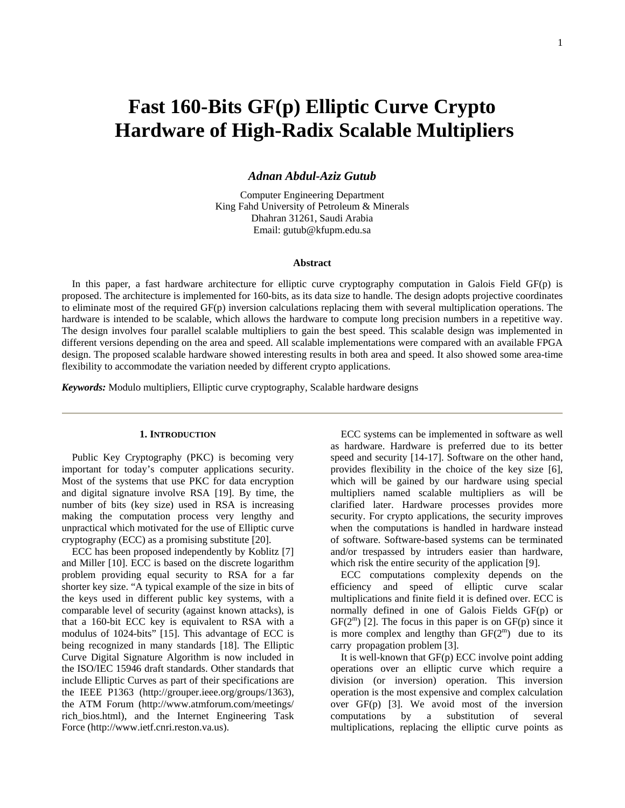# **Fast 160-Bits GF(p) Elliptic Curve Crypto Hardware of High-Radix Scalable Multipliers**

*Adnan Abdul-Aziz Gutub*

Computer Engineering Department King Fahd University of Petroleum & Minerals Dhahran 31261, Saudi Arabia Email: gutub@kfupm.edu.sa

# **Abstract**

In this paper, a fast hardware architecture for elliptic curve cryptography computation in Galois Field GF(p) is proposed. The architecture is implemented for 160-bits, as its data size to handle. The design adopts projective coordinates to eliminate most of the required GF(p) inversion calculations replacing them with several multiplication operations. The hardware is intended to be scalable, which allows the hardware to compute long precision numbers in a repetitive way. The design involves four parallel scalable multipliers to gain the best speed. This scalable design was implemented in different versions depending on the area and speed. All scalable implementations were compared with an available FPGA design. The proposed scalable hardware showed interesting results in both area and speed. It also showed some area-time flexibility to accommodate the variation needed by different crypto applications.

*Keywords:* Modulo multipliers, Elliptic curve cryptography, Scalable hardware designs

#### **1. INTRODUCTION**

Public Key Cryptography (PKC) is becoming very important for today's computer applications security. Most of the systems that use PKC for data encryption and digital signature involve RSA [19]. By time, the number of bits (key size) used in RSA is increasing making the computation process very lengthy and unpractical which motivated for the use of Elliptic curve cryptography (ECC) as a promising substitute [20].

ECC has been proposed independently by Koblitz [7] and Miller [10]. ECC is based on the discrete logarithm problem providing equal security to RSA for a far shorter key size. "A typical example of the size in bits of the keys used in different public key systems, with a comparable level of security (against known attacks), is that a 160-bit ECC key is equivalent to RSA with a modulus of 1024-bits" [15]. This advantage of ECC is being recognized in many standards [18]. The Elliptic Curve Digital Signature Algorithm is now included in the ISO/IEC 15946 draft standards. Other standards that include Elliptic Curves as part of their specifications are the IEEE P1363 (http://grouper.ieee.org/groups/1363), the ATM Forum (http://www.atmforum.com/meetings/ rich\_bios.html), and the Internet Engineering Task Force (http://www.ietf.cnri.reston.va.us).

ECC systems can be implemented in software as well as hardware. Hardware is preferred due to its better speed and security [14-17]. Software on the other hand, provides flexibility in the choice of the key size [6], which will be gained by our hardware using special multipliers named scalable multipliers as will be clarified later. Hardware processes provides more security. For crypto applications, the security improves when the computations is handled in hardware instead of software. Software-based systems can be terminated and/or trespassed by intruders easier than hardware, which risk the entire security of the application [9].

ECC computations complexity depends on the efficiency and speed of elliptic curve scalar multiplications and finite field it is defined over. ECC is normally defined in one of Galois Fields GF(p) or  $GF(2^m)$  [2]. The focus in this paper is on  $GF(p)$  since it is more complex and lengthy than  $GF(2^m)$  due to its carry propagation problem [3].

It is well-known that GF(p) ECC involve point adding operations over an elliptic curve which require a division (or inversion) operation. This inversion operation is the most expensive and complex calculation over GF(p) [3]. We avoid most of the inversion computations by a substitution of several multiplications, replacing the elliptic curve points as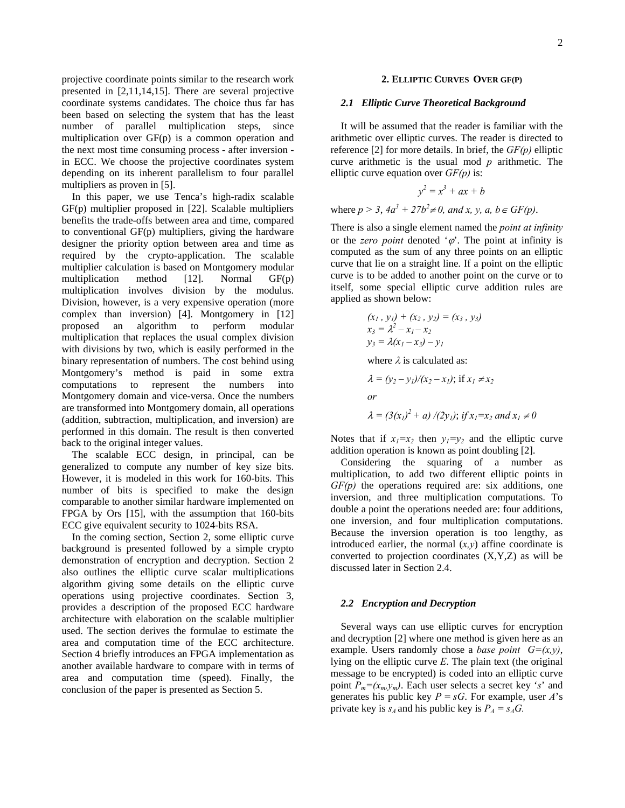projective coordinate points similar to the research work presented in [2,11,14,15]. There are several projective coordinate systems candidates. The choice thus far has been based on selecting the system that has the least number of parallel multiplication steps, since multiplication over GF(p) is a common operation and the next most time consuming process - after inversion in ECC. We choose the projective coordinates system depending on its inherent parallelism to four parallel multipliers as proven in [5].

In this paper, we use Tenca's high-radix scalable GF(p) multiplier proposed in [22]. Scalable multipliers benefits the trade-offs between area and time, compared to conventional GF(p) multipliers, giving the hardware designer the priority option between area and time as required by the crypto-application. The scalable multiplier calculation is based on Montgomery modular multiplication method [12]. Normal GF(p) multiplication involves division by the modulus. Division, however, is a very expensive operation (more complex than inversion) [4]. Montgomery in [12] proposed an algorithm to perform modular multiplication that replaces the usual complex division with divisions by two, which is easily performed in the binary representation of numbers. The cost behind using Montgomery's method is paid in some extra computations to represent the numbers into Montgomery domain and vice-versa. Once the numbers are transformed into Montgomery domain, all operations (addition, subtraction, multiplication, and inversion) are performed in this domain. The result is then converted back to the original integer values.

The scalable ECC design, in principal, can be generalized to compute any number of key size bits. However, it is modeled in this work for 160-bits. This number of bits is specified to make the design comparable to another similar hardware implemented on FPGA by Ors [15], with the assumption that 160-bits ECC give equivalent security to 1024-bits RSA.

In the coming section, Section 2, some elliptic curve background is presented followed by a simple crypto demonstration of encryption and decryption. Section 2 also outlines the elliptic curve scalar multiplications algorithm giving some details on the elliptic curve operations using projective coordinates. Section 3, provides a description of the proposed ECC hardware architecture with elaboration on the scalable multiplier used. The section derives the formulae to estimate the area and computation time of the ECC architecture. Section 4 briefly introduces an FPGA implementation as another available hardware to compare with in terms of area and computation time (speed). Finally, the conclusion of the paper is presented as Section 5.

### **2. ELLIPTIC CURVES OVER GF(P)**

### *2.1 Elliptic Curve Theoretical Background*

It will be assumed that the reader is familiar with the arithmetic over elliptic curves. The reader is directed to reference [2] for more details. In brief, the *GF(p)* elliptic curve arithmetic is the usual mod *p* arithmetic. The elliptic curve equation over *GF(p)* is:

$$
y^2 = x^3 + ax + b
$$

where  $p > 3$ ,  $4a^3 + 27b^2 \neq 0$ , and x, y, a,  $b \in GF(p)$ .

There is also a single element named the *point at infinity* or the *zero point* denoted  $\phi$ . The point at infinity is computed as the sum of any three points on an elliptic curve that lie on a straight line. If a point on the elliptic curve is to be added to another point on the curve or to itself, some special elliptic curve addition rules are applied as shown below:

$$
\begin{aligned} (x_1 \, , \, y_1) + (x_2 \, , \, y_2) &= (x_3 \, , \, y_3) \\ x_3 &= \lambda^2 - x_1 - x_2 \\ y_3 &= \lambda (x_1 - x_3) - y_1 \end{aligned}
$$

where  $\lambda$  is calculated as:

$$
\lambda = (y_2 - y_1)/(x_2 - x_1); \text{ if } x_1 \neq x_2
$$
  
or  

$$
\lambda = (3(x_1)^2 + a) / (2y_1); \text{ if } x_1 = x_2 \text{ and } x_1 \neq 0
$$

Notes that if  $x_1=x_2$  then  $y_1=y_2$  and the elliptic curve addition operation is known as point doubling [2].

Considering the squaring of a number as multiplication, to add two different elliptic points in *GF(p)* the operations required are: six additions, one inversion, and three multiplication computations. To double a point the operations needed are: four additions, one inversion, and four multiplication computations. Because the inversion operation is too lengthy, as introduced earlier, the normal  $(x, y)$  affine coordinate is converted to projection coordinates (X,Y,Z) as will be discussed later in Section 2.4.

# *2.2 Encryption and Decryption*

Several ways can use elliptic curves for encryption and decryption [2] where one method is given here as an example. Users randomly chose a *base point*  $G=(x,y)$ , lying on the elliptic curve *E*. The plain text (the original message to be encrypted) is coded into an elliptic curve point  $P_m=(x_m,y_m)$ . Each user selects a secret key '*s*' and generates his public key  $P = sG$ . For example, user *A*'s private key is  $s_A$  and his public key is  $P_A = s_A G$ .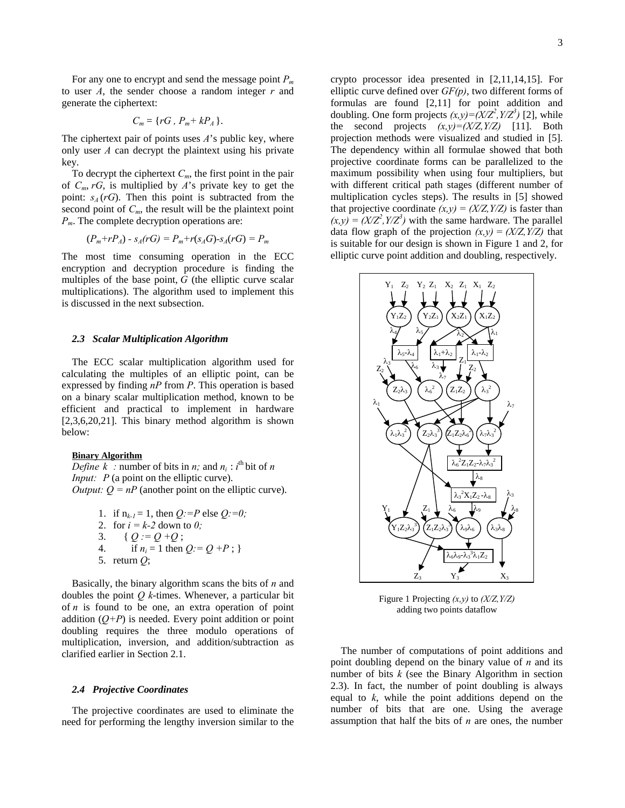For any one to encrypt and send the message point *Pm* to user *A*, the sender choose a random integer *r* and generate the ciphertext:

$$
C_m = \{rG, P_m + kP_A\}.
$$

The ciphertext pair of points uses *A*'s public key, where only user *A* can decrypt the plaintext using his private key.

To decrypt the ciphertext  $C_m$ , the first point in the pair of *Cm*, *rG*, is multiplied by *A*'s private key to get the point:  $s_A$  ( $rG$ ). Then this point is subtracted from the second point of  $C_m$ , the result will be the plaintext point *Pm*. The complete decryption operations are:

$$
(P_m + rP_A) - s_A(rG) = P_m + r(s_A G) - s_A(rG) = P_m
$$

The most time consuming operation in the ECC encryption and decryption procedure is finding the multiples of the base point, *G* (the elliptic curve scalar multiplications). The algorithm used to implement this is discussed in the next subsection.

# *2.3 Scalar Multiplication Algorithm*

The ECC scalar multiplication algorithm used for calculating the multiples of an elliptic point, can be expressed by finding *nP* from *P*. This operation is based on a binary scalar multiplication method, known to be efficient and practical to implement in hardware [2,3,6,20,21]. This binary method algorithm is shown below:

# **Binary Algorithm**

*Define*  $k$  : number of bits in *n*; and  $n_i$  : *i*<sup>th</sup> bit of *n Input: P* (a point on the elliptic curve). *Output:*  $Q = nP$  (another point on the elliptic curve).

> 1. if  $n_{k-1} = 1$ , then *Q:* = *P* else *Q:* = *0;* 2. for  $i = k-2$  down to  $0$ ; 3. {  $Q = Q + Q$  ; 4. if  $n_i = 1$  then  $Q_i = Q + P$ ; 5. return *Q*;

Basically, the binary algorithm scans the bits of *n* and doubles the point *Q k*-times. Whenever, a particular bit of *n* is found to be one, an extra operation of point addition  $(O+P)$  is needed. Every point addition or point doubling requires the three modulo operations of multiplication, inversion, and addition/subtraction as clarified earlier in Section 2.1.

#### *2.4 Projective Coordinates*

The projective coordinates are used to eliminate the need for performing the lengthy inversion similar to the

crypto processor idea presented in [2,11,14,15]. For elliptic curve defined over *GF(p)*, two different forms of formulas are found [2,11] for point addition and doubling. One form projects  $(x, y) = (X/Z^2, Y/Z^3)$  [2], while the second projects  $(x,y)=(X/Z, Y/Z)$  [11]. Both projection methods were visualized and studied in [5]. The dependency within all formulae showed that both projective coordinate forms can be parallelized to the maximum possibility when using four multipliers, but with different critical path stages (different number of multiplication cycles steps). The results in [5] showed that projective coordinate  $(x,y) = (X/Z, Y/Z)$  is faster than  $(x, y) = (X/Z<sup>2</sup>, Y/Z<sup>3</sup>)$  with the same hardware. The parallel data flow graph of the projection  $(x,y) = (X/Z, Y/Z)$  that is suitable for our design is shown in Figure 1 and 2, for elliptic curve point addition and doubling, respectively.



Figure 1 Projecting *(x,y)* to *(X/Z,Y/Z)* adding two points dataflow

The number of computations of point additions and point doubling depend on the binary value of *n* and its number of bits *k* (see the Binary Algorithm in section 2.3). In fact, the number of point doubling is always equal to *k*, while the point additions depend on the number of bits that are one. Using the average assumption that half the bits of *n* are ones, the number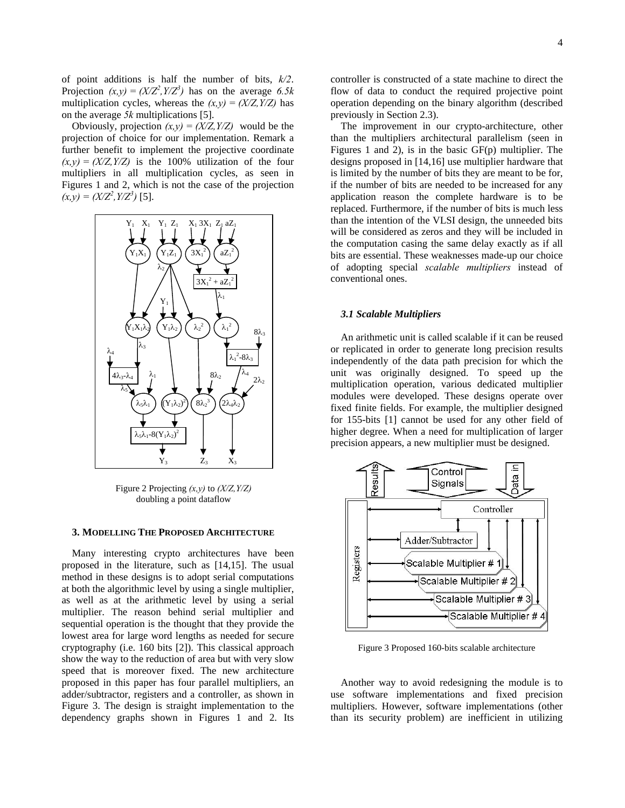of point additions is half the number of bits, *k/2*. Projection  $(x, y) = (X/Z^2, Y/Z^3)$  has on the average 6.5k multiplication cycles, whereas the  $(x,y) = (X/Z, Y/Z)$  has on the average *5k* multiplications [5].

Obviously, projection  $(x,y) = (X/Z, Y/Z)$  would be the projection of choice for our implementation. Remark a further benefit to implement the projective coordinate  $(x,y) = (X/Z, Y/Z)$  is the 100% utilization of the four multipliers in all multiplication cycles, as seen in Figures 1 and 2, which is not the case of the projection  $(x, y) = (X/Z<sup>2</sup>, Y/Z<sup>3</sup>)$  [5].



Figure 2 Projecting *(x,y)* to *(X/Z,Y/Z)* doubling a point dataflow

# **3. MODELLING THE PROPOSED ARCHITECTURE**

Many interesting crypto architectures have been proposed in the literature, such as [14,15]. The usual method in these designs is to adopt serial computations at both the algorithmic level by using a single multiplier, as well as at the arithmetic level by using a serial multiplier. The reason behind serial multiplier and sequential operation is the thought that they provide the lowest area for large word lengths as needed for secure cryptography (i.e. 160 bits [2]). This classical approach show the way to the reduction of area but with very slow speed that is moreover fixed. The new architecture proposed in this paper has four parallel multipliers, an adder/subtractor, registers and a controller, as shown in Figure 3. The design is straight implementation to the dependency graphs shown in Figures 1 and 2. Its controller is constructed of a state machine to direct the flow of data to conduct the required projective point operation depending on the binary algorithm (described

previously in Section 2.3). The improvement in our crypto-architecture, other than the multipliers architectural parallelism (seen in Figures 1 and 2), is in the basic GF(p) multiplier. The designs proposed in [14,16] use multiplier hardware that is limited by the number of bits they are meant to be for, if the number of bits are needed to be increased for any application reason the complete hardware is to be replaced. Furthermore, if the number of bits is much less than the intention of the VLSI design, the unneeded bits will be considered as zeros and they will be included in the computation casing the same delay exactly as if all bits are essential. These weaknesses made-up our choice of adopting special *scalable multipliers* instead of conventional ones.

## *3.1 Scalable Multipliers*

An arithmetic unit is called scalable if it can be reused or replicated in order to generate long precision results independently of the data path precision for which the unit was originally designed. To speed up the multiplication operation, various dedicated multiplier modules were developed. These designs operate over fixed finite fields. For example, the multiplier designed for 155-bits [1] cannot be used for any other field of higher degree. When a need for multiplication of larger precision appears, a new multiplier must be designed.



Figure 3 Proposed 160-bits scalable architecture

Another way to avoid redesigning the module is to use software implementations and fixed precision multipliers. However, software implementations (other than its security problem) are inefficient in utilizing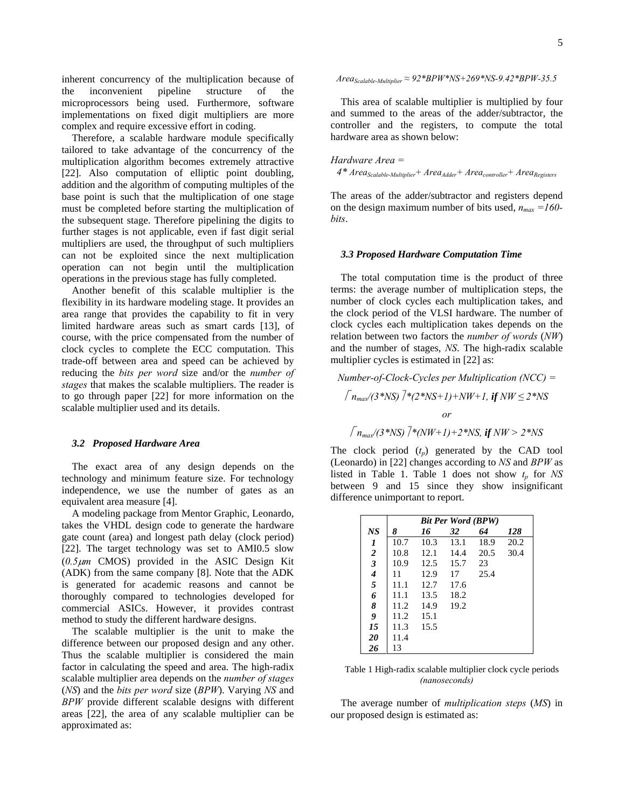inherent concurrency of the multiplication because of the inconvenient pipeline structure of the microprocessors being used. Furthermore, software implementations on fixed digit multipliers are more complex and require excessive effort in coding.

Therefore, a scalable hardware module specifically tailored to take advantage of the concurrency of the multiplication algorithm becomes extremely attractive [22]. Also computation of elliptic point doubling, addition and the algorithm of computing multiples of the base point is such that the multiplication of one stage must be completed before starting the multiplication of the subsequent stage. Therefore pipelining the digits to further stages is not applicable, even if fast digit serial multipliers are used, the throughput of such multipliers can not be exploited since the next multiplication operation can not begin until the multiplication operations in the previous stage has fully completed.

Another benefit of this scalable multiplier is the flexibility in its hardware modeling stage. It provides an area range that provides the capability to fit in very limited hardware areas such as smart cards [13], of course, with the price compensated from the number of clock cycles to complete the ECC computation. This trade-off between area and speed can be achieved by reducing the *bits per word* size and/or the *number of stages* that makes the scalable multipliers. The reader is to go through paper [22] for more information on the scalable multiplier used and its details.

## *3.2 Proposed Hardware Area*

The exact area of any design depends on the technology and minimum feature size. For technology independence, we use the number of gates as an equivalent area measure [4].

A modeling package from Mentor Graphic, Leonardo, takes the VHDL design code to generate the hardware gate count (area) and longest path delay (clock period) [22]. The target technology was set to AMI0.5 slow (*0.5*µ*m* CMOS) provided in the ASIC Design Kit (ADK) from the same company [8]. Note that the ADK is generated for academic reasons and cannot be thoroughly compared to technologies developed for commercial ASICs. However, it provides contrast method to study the different hardware designs.

The scalable multiplier is the unit to make the difference between our proposed design and any other. Thus the scalable multiplier is considered the main factor in calculating the speed and area. The high-radix scalable multiplier area depends on the *number of stages* (*NS*) and the *bits per word* size (*BPW*). Varying *NS* and *BPW* provide different scalable designs with different areas [22], the area of any scalable multiplier can be approximated as:

*AreaScalable-Multiplier ≈ 92\*BPW\*NS+269\*NS-9.42\*BPW-35.5* 

This area of scalable multiplier is multiplied by four and summed to the areas of the adder/subtractor, the controller and the registers, to compute the total hardware area as shown below:

*Hardware Area =*   $4*$  *Area<sub>Scalable-Multiplier* + *Area<sub>Adder</sub>* + *Area<sub>controller* + *Area<sub>Registers*</sub></sub></sub>

The areas of the adder/subtractor and registers depend on the design maximum number of bits used,  $n_{max} = 160$ *bits*.

#### *3.3 Proposed Hardware Computation Time*

The total computation time is the product of three terms: the average number of multiplication steps, the number of clock cycles each multiplication takes, and the clock period of the VLSI hardware. The number of clock cycles each multiplication takes depends on the relation between two factors the *number of words* (*NW*) and the number of stages, *NS*. The high-radix scalable multiplier cycles is estimated in [22] as:

*Number-of-Clock-Cycles per Multiplication (NCC) =*   $\int n_{max}/(3*NS)$  <sup>7</sup> \*(2\*NS+1)+NW+1, *if* NW ≤ 2\*NS *or*   $\int n_{max}/(3*NS)$   $\left[7(NW+1)+2*NS\right]$ , *if*  $NW > 2*NS$ 

The clock period  $(t_p)$  generated by the CAD tool (Leonardo) in [22] changes according to *NS* and *BPW* as listed in Table 1. Table 1 does not show  $t_p$  for  $NS$ between 9 and 15 since they show insignificant difference unimportant to report.

|                         | <b>Bit Per Word (BPW)</b> |      |      |      |      |  |  |
|-------------------------|---------------------------|------|------|------|------|--|--|
| <b>NS</b>               | 8                         | 16   | 32   | 64   | 128  |  |  |
| 1                       | 10.7                      | 10.3 | 13.1 | 18.9 | 20.2 |  |  |
| $\frac{2}{3}$           | 10.8                      | 12.1 | 14.4 | 20.5 | 30.4 |  |  |
|                         | 10.9                      | 12.5 | 15.7 | 23   |      |  |  |
| $\overline{\mathbf{4}}$ | 11                        | 12.9 | 17   | 25.4 |      |  |  |
| $\sqrt{5}$              | 11.1                      | 12.7 | 17.6 |      |      |  |  |
| 6                       | 11.1                      | 13.5 | 18.2 |      |      |  |  |
| 8                       | 11.2                      | 14.9 | 19.2 |      |      |  |  |
| 9                       | 11.2                      | 15.1 |      |      |      |  |  |
| 15                      | 11.3                      | 15.5 |      |      |      |  |  |
| 20                      | 11.4                      |      |      |      |      |  |  |
| 26                      | 13                        |      |      |      |      |  |  |

Table 1 High-radix scalable multiplier clock cycle periods *(nanoseconds)*

The average number of *multiplication steps* (*MS*) in our proposed design is estimated as: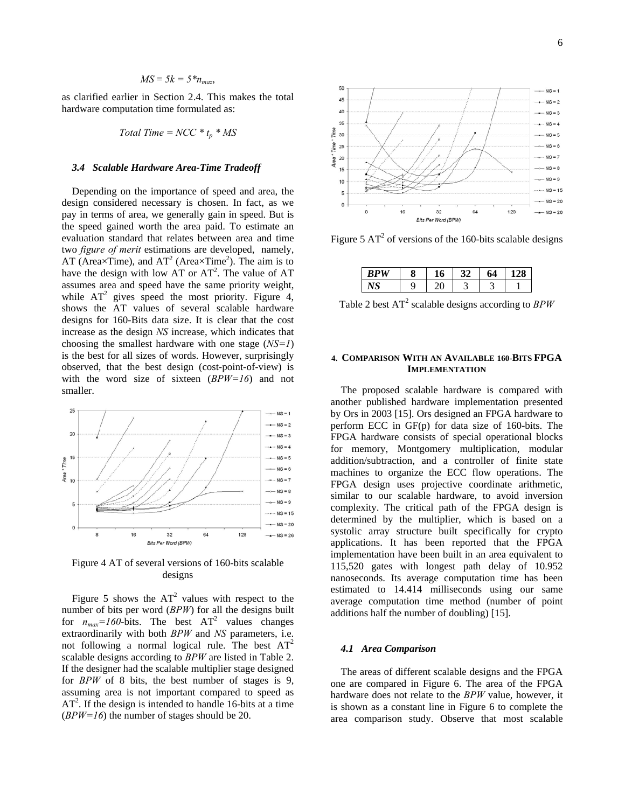$$
MS = 5k = 5 * n_{max},
$$

as clarified earlier in Section 2.4. This makes the total hardware computation time formulated as:

$$
Total Time = NCC * t_p * MS
$$

# *3.4 Scalable Hardware Area-Time Tradeoff*

Depending on the importance of speed and area, the design considered necessary is chosen. In fact, as we pay in terms of area, we generally gain in speed. But is the speed gained worth the area paid. To estimate an evaluation standard that relates between area and time two *figure of merit* estimations are developed, namely, AT (Area $\times$ Time), and AT<sup>2</sup> (Area $\times$ Time<sup>2</sup>). The aim is to have the design with low AT or  $AT^2$ . The value of AT assumes area and speed have the same priority weight, while  $AT^2$  gives speed the most priority. Figure 4, shows the AT values of several scalable hardware designs for 160-Bits data size. It is clear that the cost increase as the design *NS* increase, which indicates that choosing the smallest hardware with one stage (*NS=1*) is the best for all sizes of words. However, surprisingly observed, that the best design (cost-point-of-view) is with the word size of sixteen (*BPW=16*) and not smaller.



Figure 4 AT of several versions of 160-bits scalable designs

Figure 5 shows the  $AT^2$  values with respect to the number of bits per word (*BPW*) for all the designs built for  $n_{max} = 160$ -bits. The best  $AT^2$  values changes extraordinarily with both *BPW* and *NS* parameters, i.e. not following a normal logical rule. The best  $AT^2$ scalable designs according to *BPW* are listed in Table 2. If the designer had the scalable multiplier stage designed for *BPW* of 8 bits, the best number of stages is 9, assuming area is not important compared to speed as  $AT<sup>2</sup>$ . If the design is intended to handle 16-bits at a time (*BPW=16*) the number of stages should be 20.



Figure 5  $AT^2$  of versions of the 160-bits scalable designs

| <b>TT</b><br>ייש | Ω |  | Δ<br>v |  |
|------------------|---|--|--------|--|
|                  |   |  |        |  |

Table 2 best  $AT^2$  scalable designs according to  $BPW$ 

# **4. COMPARISON WITH AN AVAILABLE 160-BITS FPGA IMPLEMENTATION**

The proposed scalable hardware is compared with another published hardware implementation presented by Ors in 2003 [15]. Ors designed an FPGA hardware to perform ECC in GF(p) for data size of 160-bits. The FPGA hardware consists of special operational blocks for memory, Montgomery multiplication, modular addition/subtraction, and a controller of finite state machines to organize the ECC flow operations. The FPGA design uses projective coordinate arithmetic, similar to our scalable hardware, to avoid inversion complexity. The critical path of the FPGA design is determined by the multiplier, which is based on a systolic array structure built specifically for crypto applications. It has been reported that the FPGA implementation have been built in an area equivalent to 115,520 gates with longest path delay of 10.952 nanoseconds. Its average computation time has been estimated to 14.414 milliseconds using our same average computation time method (number of point additions half the number of doubling) [15].

#### *4.1 Area Comparison*

The areas of different scalable designs and the FPGA one are compared in Figure 6. The area of the FPGA hardware does not relate to the *BPW* value, however, it is shown as a constant line in Figure 6 to complete the area comparison study. Observe that most scalable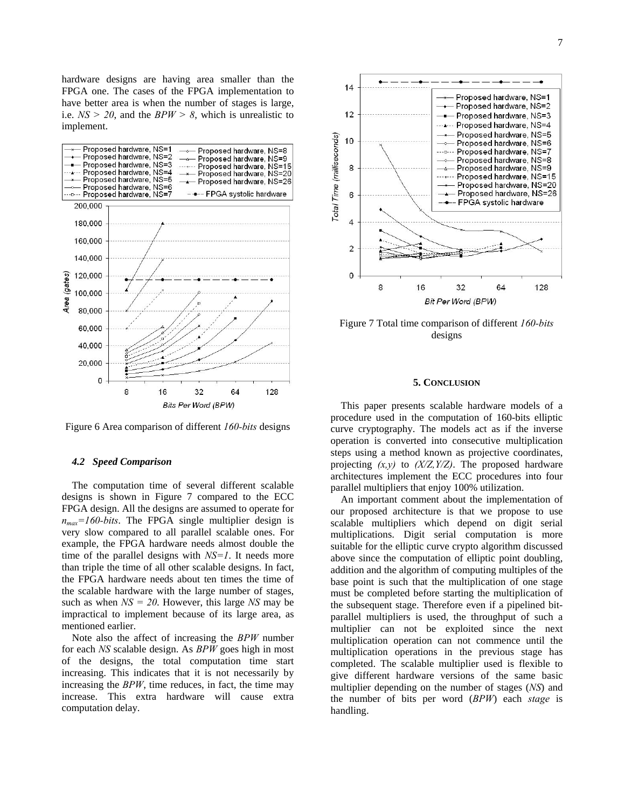hardware designs are having area smaller than the FPGA one. The cases of the FPGA implementation to have better area is when the number of stages is large, i.e. *NS > 20*, and the *BPW > 8*, which is unrealistic to implement.



Figure 6 Area comparison of different *160-bits* designs

#### *4.2 Speed Comparison*

The computation time of several different scalable designs is shown in Figure 7 compared to the ECC FPGA design. All the designs are assumed to operate for  $n_{max}$ =160-bits. The FPGA single multiplier design is very slow compared to all parallel scalable ones. For example, the FPGA hardware needs almost double the time of the parallel designs with *NS=1*. It needs more than triple the time of all other scalable designs. In fact, the FPGA hardware needs about ten times the time of the scalable hardware with the large number of stages, such as when *NS = 20*. However, this large *NS* may be impractical to implement because of its large area, as mentioned earlier.

Note also the affect of increasing the *BPW* number for each *NS* scalable design. As *BPW* goes high in most of the designs, the total computation time start increasing. This indicates that it is not necessarily by increasing the *BPW*, time reduces, in fact, the time may increase. This extra hardware will cause extra computation delay.



Figure 7 Total time comparison of different *160-bits* designs

#### **5. CONCLUSION**

This paper presents scalable hardware models of a procedure used in the computation of 160-bits elliptic curve cryptography. The models act as if the inverse operation is converted into consecutive multiplication steps using a method known as projective coordinates, projecting *(x,y)* to *(X/Z,Y/Z)*. The proposed hardware architectures implement the ECC procedures into four parallel multipliers that enjoy 100% utilization.

An important comment about the implementation of our proposed architecture is that we propose to use scalable multipliers which depend on digit serial multiplications. Digit serial computation is more suitable for the elliptic curve crypto algorithm discussed above since the computation of elliptic point doubling, addition and the algorithm of computing multiples of the base point is such that the multiplication of one stage must be completed before starting the multiplication of the subsequent stage. Therefore even if a pipelined bitparallel multipliers is used, the throughput of such a multiplier can not be exploited since the next multiplication operation can not commence until the multiplication operations in the previous stage has completed. The scalable multiplier used is flexible to give different hardware versions of the same basic multiplier depending on the number of stages (*NS*) and the number of bits per word (*BPW*) each *stage* is handling.